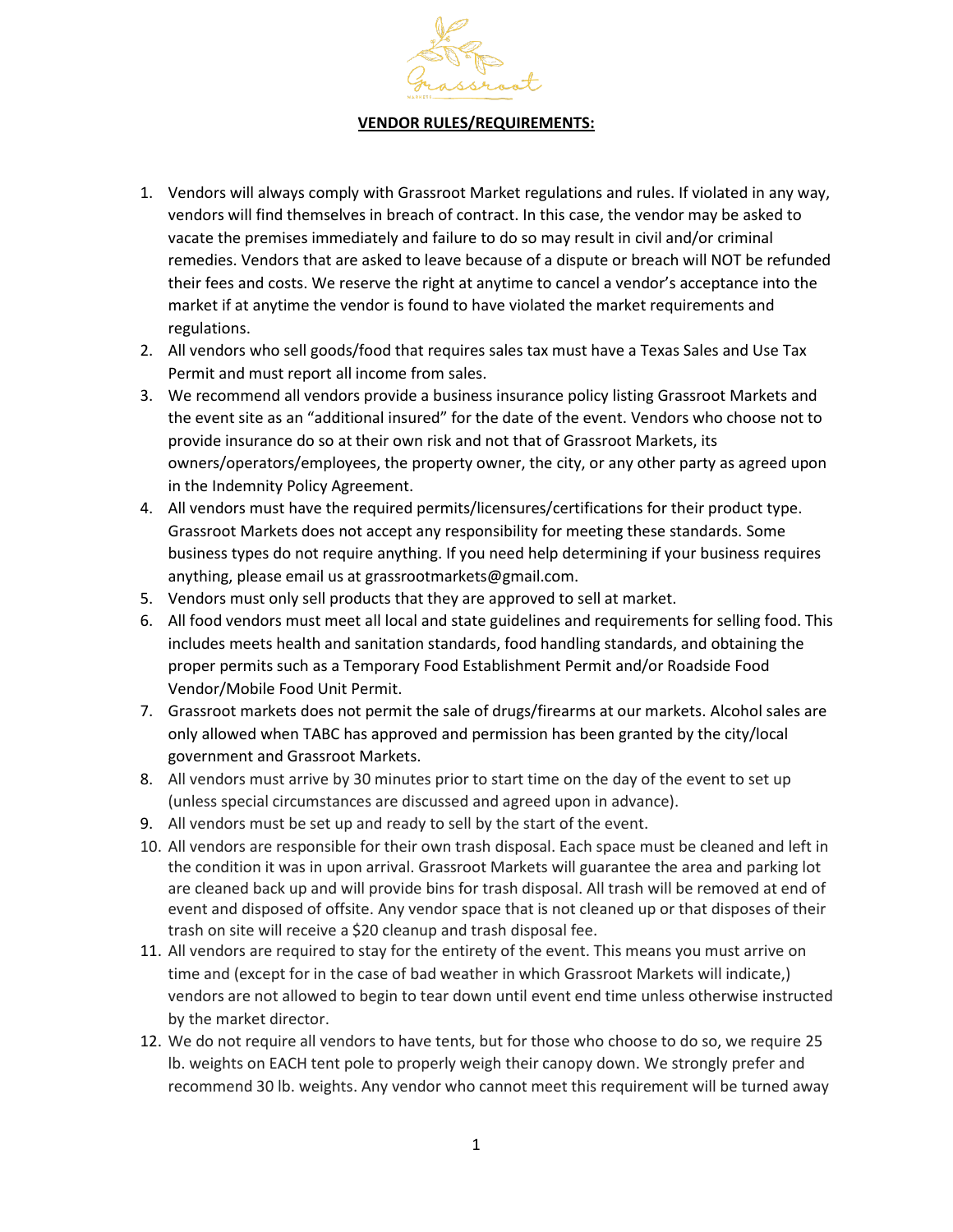

## **VENDOR RULES/REQUIREMENTS:**

- 1. Vendors will always comply with Grassroot Market regulations and rules. If violated in any way, vendors will find themselves in breach of contract. In this case, the vendor may be asked to vacate the premises immediately and failure to do so may result in civil and/or criminal remedies. Vendors that are asked to leave because of a dispute or breach will NOT be refunded their fees and costs. We reserve the right at anytime to cancel a vendor's acceptance into the market if at anytime the vendor is found to have violated the market requirements and regulations.
- 2. All vendors who sell goods/food that requires sales tax must have a Texas Sales and Use Tax Permit and must report all income from sales.
- 3. We recommend all vendors provide a business insurance policy listing Grassroot Markets and the event site as an "additional insured" for the date of the event. Vendors who choose not to provide insurance do so at their own risk and not that of Grassroot Markets, its owners/operators/employees, the property owner, the city, or any other party as agreed upon in the Indemnity Policy Agreement.
- 4. All vendors must have the required permits/licensures/certifications for their product type. Grassroot Markets does not accept any responsibility for meeting these standards. Some business types do not require anything. If you need help determining if your business requires anything, please email us at grassrootmarkets@gmail.com.
- 5. Vendors must only sell products that they are approved to sell at market.
- 6. All food vendors must meet all local and state guidelines and requirements for selling food. This includes meets health and sanitation standards, food handling standards, and obtaining the proper permits such as a Temporary Food Establishment Permit and/or Roadside Food Vendor/Mobile Food Unit Permit.
- 7. Grassroot markets does not permit the sale of drugs/firearms at our markets. Alcohol sales are only allowed when TABC has approved and permission has been granted by the city/local government and Grassroot Markets.
- 8. All vendors must arrive by 30 minutes prior to start time on the day of the event to set up (unless special circumstances are discussed and agreed upon in advance).
- 9. All vendors must be set up and ready to sell by the start of the event.
- 10. All vendors are responsible for their own trash disposal. Each space must be cleaned and left in the condition it was in upon arrival. Grassroot Markets will guarantee the area and parking lot are cleaned back up and will provide bins for trash disposal. All trash will be removed at end of event and disposed of offsite. Any vendor space that is not cleaned up or that disposes of their trash on site will receive a \$20 cleanup and trash disposal fee.
- 11. All vendors are required to stay for the entirety of the event. This means you must arrive on time and (except for in the case of bad weather in which Grassroot Markets will indicate,) vendors are not allowed to begin to tear down until event end time unless otherwise instructed by the market director.
- 12. We do not require all vendors to have tents, but for those who choose to do so, we require 25 lb. weights on EACH tent pole to properly weigh their canopy down. We strongly prefer and recommend 30 lb. weights. Any vendor who cannot meet this requirement will be turned away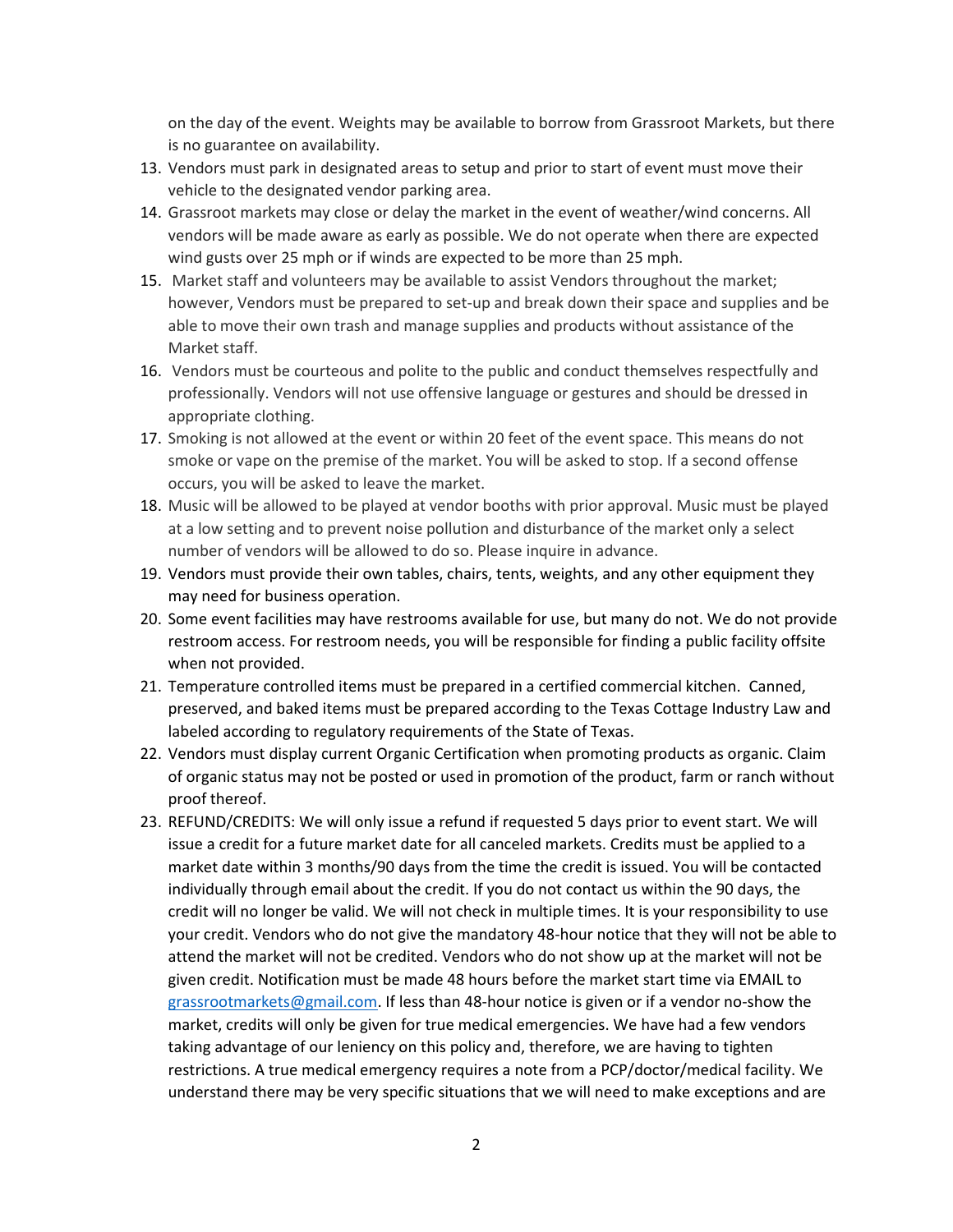on the day of the event. Weights may be available to borrow from Grassroot Markets, but there is no guarantee on availability.

- 13. Vendors must park in designated areas to setup and prior to start of event must move their vehicle to the designated vendor parking area.
- 14. Grassroot markets may close or delay the market in the event of weather/wind concerns. All vendors will be made aware as early as possible. We do not operate when there are expected wind gusts over 25 mph or if winds are expected to be more than 25 mph.
- 15. Market staff and volunteers may be available to assist Vendors throughout the market; however, Vendors must be prepared to set-up and break down their space and supplies and be able to move their own trash and manage supplies and products without assistance of the Market staff.
- 16. Vendors must be courteous and polite to the public and conduct themselves respectfully and professionally. Vendors will not use offensive language or gestures and should be dressed in appropriate clothing.
- 17. Smoking is not allowed at the event or within 20 feet of the event space. This means do not smoke or vape on the premise of the market. You will be asked to stop. If a second offense occurs, you will be asked to leave the market.
- 18. Music will be allowed to be played at vendor booths with prior approval. Music must be played at a low setting and to prevent noise pollution and disturbance of the market only a select number of vendors will be allowed to do so. Please inquire in advance.
- 19. Vendors must provide their own tables, chairs, tents, weights, and any other equipment they may need for business operation.
- 20. Some event facilities may have restrooms available for use, but many do not. We do not provide restroom access. For restroom needs, you will be responsible for finding a public facility offsite when not provided.
- 21. Temperature controlled items must be prepared in a certified commercial kitchen. Canned, preserved, and baked items must be prepared according to the Texas Cottage Industry Law and labeled according to regulatory requirements of the State of Texas.
- 22. Vendors must display current Organic Certification when promoting products as organic. Claim of organic status may not be posted or used in promotion of the product, farm or ranch without proof thereof.
- 23. REFUND/CREDITS: We will only issue a refund if requested 5 days prior to event start. We will issue a credit for a future market date for all canceled markets. Credits must be applied to a market date within 3 months/90 days from the time the credit is issued. You will be contacted individually through email about the credit. If you do not contact us within the 90 days, the credit will no longer be valid. We will not check in multiple times. It is your responsibility to use your credit. Vendors who do not give the mandatory 48-hour notice that they will not be able to attend the market will not be credited. Vendors who do not show up at the market will not be given credit. Notification must be made 48 hours before the market start time via EMAIL to [grassrootmarkets@gmail.com.](mailto:grassrootmarkets@gmail.com) If less than 48-hour notice is given or if a vendor no-show the market, credits will only be given for true medical emergencies. We have had a few vendors taking advantage of our leniency on this policy and, therefore, we are having to tighten restrictions. A true medical emergency requires a note from a PCP/doctor/medical facility. We understand there may be very specific situations that we will need to make exceptions and are